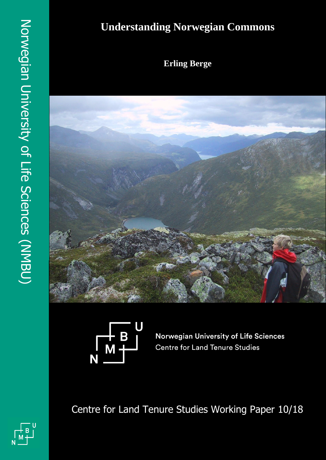# **Understanding Norwegian Commons**

**Erling Berge**





Norwegian University of Life Sciences **Centre for Land Tenure Studies** 

Centre for Land Tenure Studies Working Paper 10/18



Dag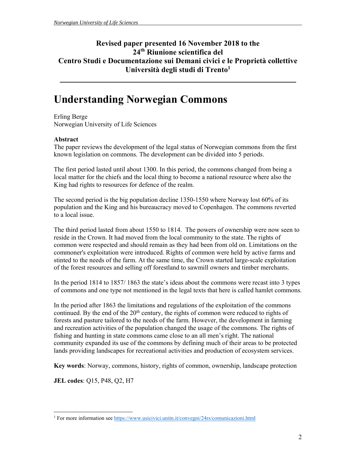### **Revised paper presented 16 November 2018 to the 24th Riunione scientifica del Centro Studi e Documentazione sui Demani civici e le Proprietà collettive**  Università degli studi di Trento<sup>1</sup>

# **Understanding Norwegian Commons**

Erling Berge Norwegian University of Life Sciences

#### **Abstract**

The paper reviews the development of the legal status of Norwegian commons from the first known legislation on commons. The development can be divided into 5 periods.

The first period lasted until about 1300. In this period, the commons changed from being a local matter for the chiefs and the local thing to become a national resource where also the King had rights to resources for defence of the realm.

The second period is the big population decline 1350-1550 where Norway lost 60% of its population and the King and his bureaucracy moved to Copenhagen. The commons reverted to a local issue.

The third period lasted from about 1550 to 1814. The powers of ownership were now seen to reside in the Crown. It had moved from the local community to the state. The rights of common were respected and should remain as they had been from old on. Limitations on the commoner's exploitation were introduced. Rights of common were held by active farms and stinted to the needs of the farm. At the same time, the Crown started large-scale exploitation of the forest resources and selling off forestland to sawmill owners and timber merchants.

In the period 1814 to 1857/ 1863 the state's ideas about the commons were recast into 3 types of commons and one type not mentioned in the legal texts that here is called hamlet commons.

In the period after 1863 the limitations and regulations of the exploitation of the commons continued. By the end of the  $20<sup>th</sup>$  century, the rights of common were reduced to rights of forests and pasture tailored to the needs of the farm. However, the development in farming and recreation activities of the population changed the usage of the commons. The rights of fishing and hunting in state commons came close to an all men's right. The national community expanded its use of the commons by defining much of their areas to be protected lands providing landscapes for recreational activities and production of ecosystem services.

**Key words**: Norway, commons, history, rights of common, ownership, landscape protection

**JEL codes**: Q15, P48, Q2, H7

 $\overline{a}$ <sup>1</sup> For more information see https://www.usicivici.unitn.it/convegni/24rs/comunicazioni.html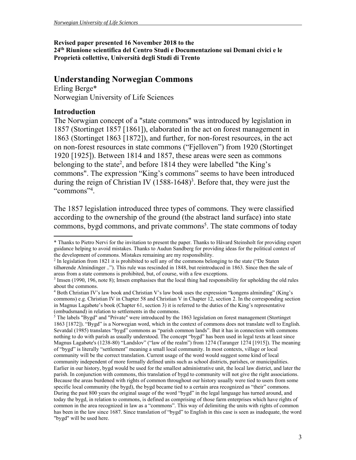**Revised paper presented 16 November 2018 to the 24th Riunione scientifica del Centro Studi e Documentazione sui Demani civici e le Proprietà collettive, Università degli Studi di Trento** 

## **Understanding Norwegian Commons**

Erling Berge\* Norwegian University of Life Sciences

#### **Introduction**

The Norwgian concept of a "state commons" was introduced by legislation in 1857 (Stortinget 1857 [1861]), elaborated in the act on forest management in 1863 (Stortinget 1863 [1872]), and further, for non-forest resources, in the act on non-forest resources in state commons ("Fjelloven") from 1920 (Stortinget 1920 [1925]). Between 1814 and 1857, these areas were seen as commons belonging to the state<sup>2</sup>, and before 1814 they were labelled "the King's commons". The expression "King's commons" seems to have been introduced during the reign of Christian IV  $(1588-1648)^3$ . Before that, they were just the "commons"<sup>4</sup>.

The 1857 legislation introduced three types of commons. They were classified according to the ownership of the ground (the abstract land surface) into state commons, bygd commons, and private commons<sup>5</sup>. The state commons of today

 \* Thanks to Pietro Nervi for the invitation to present the paper. Thanks to Håvard Steinsholt for providing expert guidance helping to avoid mistakes. Thanks to Audun Sandberg for providing ideas for the political context of the development of commons. Mistakes remaining are my responsibility.

<sup>&</sup>lt;sup>2</sup> In legislation from 1821 it is prohibited to sell any of the commons belonging to the state ("De Staten") tilhørende Almindinger .."). This rule was rescinded in 1848, but reintroduced in 1863. Since then the sale of areas from a state commons is prohibited, but, of course, with a few exceptions. 3

<sup>&</sup>lt;sup>3</sup> Imsen (1990, 196, note 8); Imsen emphasises that the local thing had responsibility for upholding the old rules about the commons.

<sup>4</sup> Both Christian IV's law book and Christian V's law book uses the expression "kongens alminding" (King's commons) e.g. Christian IV in Chapter 58 and Christian V in Chapter 12, section 2. In the corresponding section in Magnus Lagabøte's book (Chapter 61, section 3) it is referred to the duties of the King's representative (ombudsmand) in relation to settlements in the commons.

<sup>&</sup>lt;sup>5</sup> The labels "Bygd" and "Private" were introduced by the 1863 legislation on forest management (Stortinget 1863 [1872]). "Bygd" is a Norwegian word, which in the context of commons does not translate well to English. Sevatdal (1985) translates "bygd" commons as "parish common lands". But it has in connection with commons nothing to do with parish as usually understood. The concept "bygd" has been used in legal texts at least since Magnus Lagabøte's (1238-80) "Landslov" ("law of the realm") from 1274 (Taranger 1274 [1915]). The meaning of "bygd" is literally "settlement" meaning a small local community. In most contexts, village or local community will be the correct translation. Current usage of the word would suggest some kind of local community independent of more formally defined units such as school districts, parishes, or municipalities. Earlier in our history, bygd would be used for the smallest administrative unit, the local law district, and later the parish. In conjunction with commons, this translation of bygd to community will not give the right associations. Because the areas burdened with rights of common throughout our history usually were tied to users from some specific local community (the bygd), the bygd became tied to a certain area recognized as "their" commons. During the past 800 years the original usage of the word "bygd" in the legal language has turned around, and today the bygd, in relation to commons, is defined as comprising of those farm enterprises which have rights of common in the area recognized in law as a "commons". This way of delimiting the units with rights of common has been in the law since 1687. Since translation of "bygd" to English in this case is seen as inadequate, the word "bygd" will be used here.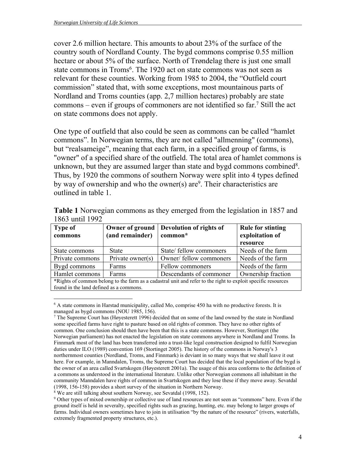cover 2.6 million hectare. This amounts to about 23% of the surface of the country south of Nordland County. The bygd commons comprise 0.55 million hectare or about 5% of the surface. North of Trøndelag there is just one small state commons in Troms<sup>6</sup>. The 1920 act on state commons was not seen as relevant for these counties. Working from 1985 to 2004, the "Outfield court commission" stated that, with some exceptions, most mountainous parts of Nordland and Troms counties (app. 2,7 million hectares) probably are state commons – even if groups of commoners are not identified so far. 7 Still the act on state commons does not apply.

One type of outfield that also could be seen as commons can be called "hamlet commons". In Norwegian terms, they are not called "allmenning" (commons), but "realsameige", meaning that each farm, in a specified group of farms, is "owner" of a specified share of the outfield. The total area of hamlet commons is unknown, but they are assumed larger than state and bygd commons combined<sup>8</sup>. Thus, by 1920 the commons of southern Norway were split into 4 types defined by way of ownership and who the owner(s) are $9$ . Their characteristics are outlined in table 1.

| <b>Table 1</b> Norwegian commons as they emerged from the legislation in 1857 and |  |  |
|-----------------------------------------------------------------------------------|--|--|
| 1863 until 1992                                                                   |  |  |

| <b>Type of</b><br>commons                                                                                     | Owner of ground<br>(and remainder) | Devolution of rights of<br>common* | <b>Rule for stinting</b><br>exploitation of |  |
|---------------------------------------------------------------------------------------------------------------|------------------------------------|------------------------------------|---------------------------------------------|--|
|                                                                                                               |                                    |                                    | resource                                    |  |
| State commons                                                                                                 | <b>State</b>                       | State/ fellow commoners            | Needs of the farm                           |  |
| Private commons                                                                                               | Private owner(s)                   | Owner/ fellow commoners            | Needs of the farm                           |  |
| Bygd commons                                                                                                  | Farms                              | Fellow commoners                   | Needs of the farm                           |  |
| Hamlet commons                                                                                                | Farms                              | Descendants of commoner            | Ownership fraction                          |  |
| *Rights of common belong to the farm as a cadastral unit and refer to the right to exploit specific resources |                                    |                                    |                                             |  |
| found in the land defined as a commons.                                                                       |                                    |                                    |                                             |  |

<sup>6</sup> A state commons in Harstad municipality, called Mo, comprise 450 ha with no productive forests. It is managed as bygd commons (NOU 1985, 156).

 $\overline{a}$ 

<sup>&</sup>lt;sup>7</sup> The Supreme Court has (Høyesterett 1996) decided that on some of the land owned by the state in Nordland some specified farms have right to pasture based on old rights of common. They have no other rights of common. One conclusion should then have been that this is a state commons. However, Stortinget (the Norwegian parliament) has not enacted the legislation on state commons anywhere in Nordland and Troms. In Finnmark most of the land has been transferred into a trust-like legal construction designed to fulfil Norwegian duties under ILO (1989) convention 169 (Stortinget 2005). The history of the commons in Norway's 3 northernmost counties (Nordland, Troms, and Finnmark) is deviant in so many ways that we shall leave it out here. For example, in Manndalen, Troms, the Supreme Court has decided that the local population of the bygd is the owner of an area called Svartskogen (Høyesterett 2001a). The usage of this area conforms to the definition of a commons as understood in the international literature. Unlike other Norwegian commons all inhabitant in the community Manndalen have rights of common in Svartskogen and they lose these if they move away. Sevatdal (1998, 156-158) provides a short survey of the situation in Northern Norway. 8

<sup>&</sup>lt;sup>8</sup> We are still talking about southern Norway, see Sevatdal (1998, 152).

Other types of mixed ownership or collective use of land resources are not seen as "commons" here. Even if the ground itself is held in severalty, specified rights such as grazing, hunting, etc. may belong to larger groups of farms. Individual owners sometimes have to join in utilisation "by the nature of the resource" (rivers, waterfalls, extremely fragmented property structures, etc.).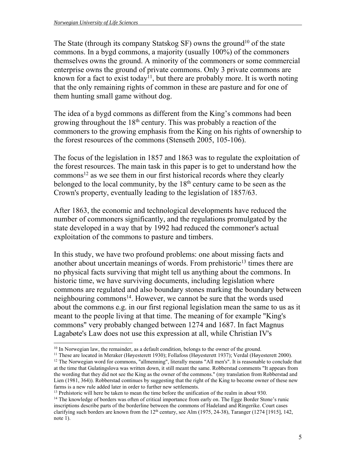The State (through its company Statskog SF) owns the ground<sup>10</sup> of the state commons. In a bygd commons, a majority (usually 100%) of the commoners themselves owns the ground. A minority of the commoners or some commercial enterprise owns the ground of private commons. Only 3 private commons are known for a fact to exist today<sup>11</sup>, but there are probably more. It is worth noting that the only remaining rights of common in these are pasture and for one of them hunting small game without dog.

The idea of a bygd commons as different from the King's commons had been growing throughout the  $18<sup>th</sup>$  century. This was probably a reaction of the commoners to the growing emphasis from the King on his rights of ownership to the forest resources of the commons (Stenseth 2005, 105-106).

The focus of the legislation in 1857 and 1863 was to regulate the exploitation of the forest resources. The main task in this paper is to get to understand how the  $commons<sup>12</sup>$  as we see them in our first historical records where they clearly belonged to the local community, by the  $18<sup>th</sup>$  century came to be seen as the Crown's property, eventually leading to the legislation of 1857/63.

After 1863, the economic and technological developments have reduced the number of commoners significantly, and the regulations promulgated by the state developed in a way that by 1992 had reduced the commoner's actual exploitation of the commons to pasture and timbers.

In this study, we have two profound problems: one about missing facts and another about uncertain meanings of words. From prehistoric<sup>13</sup> times there are no physical facts surviving that might tell us anything about the commons. In historic time, we have surviving documents, including legislation where commons are regulated and also boundary stones marking the boundary between neighbouring commons14. However, we cannot be sure that the words used about the commons e.g. in our first regional legislation mean the same to us as it meant to the people living at that time. The meaning of for example "King's commons" very probably changed between 1274 and 1687. In fact Magnus Lagabøte's Law does not use this expression at all, while Christian IV's

 $\overline{a}$ 

<sup>13</sup> Prehistoric will here be taken to mean the time before the unification of the realm in about 930.<br><sup>14</sup> The knowledge of borders was often of critical importance from early on. The Egge Border Stone's runic inscriptions describe parts of the borderline between the commons of Hadeland and Ringerike. Court cases clarifying such borders are known from the 12<sup>th</sup> century, see Alm (1975, 24-38), Taranger (1274 [1915], 142, note 1).

<sup>&</sup>lt;sup>10</sup> In Norwegian law, the remainder, as a default condition, belongs to the owner of the ground.<br><sup>11</sup> These are located in Meraker (Høyesterett 1930); Follafoss (Høyesterett 1937); Verdal (Høyesterett 2000).<br><sup>12</sup> The Nor

at the time that Gulatingslova was written down, it still meant the same. Robberstad comments "It appears from the wording that they did not see the King as the owner of the commons." (my translation from Robberstad and Lien (1981, 364)). Robberstad continues by suggesting that the right of the King to become owner of these new farms is a new rule added later in order to further new settlements.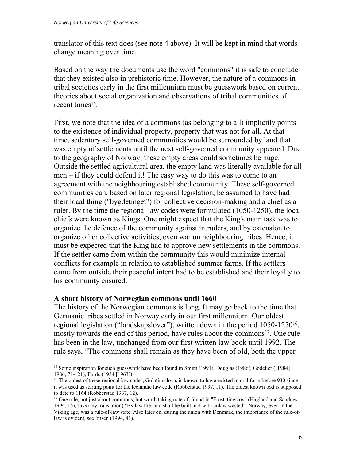translator of this text does (see note 4 above). It will be kept in mind that words change meaning over time.

Based on the way the documents use the word "commons" it is safe to conclude that they existed also in prehistoric time. However, the nature of a commons in tribal societies early in the first millennium must be guesswork based on current theories about social organization and observations of tribal communities of recent times<sup>15</sup>.

First, we note that the idea of a commons (as belonging to all) implicitly points to the existence of individual property, property that was not for all. At that time, sedentary self-governed communities would be surrounded by land that was empty of settlements until the next self-governed community appeared. Due to the geography of Norway, these empty areas could sometimes be huge. Outside the settled agricultural area, the empty land was literally available for all men – if they could defend it! The easy way to do this was to come to an agreement with the neighbouring established community. These self-governed communities can, based on later regional legislation, be assumed to have had their local thing ("bygdetinget") for collective decision-making and a chief as a ruler. By the time the regional law codes were formulated (1050-1250), the local chiefs were known as Kings. One might expect that the King's main task was to organize the defence of the community against intruders, and by extension to organize other collective activities, even war on neighbouring tribes. Hence, it must be expected that the King had to approve new settlements in the commons. If the settler came from within the community this would minimize internal conflicts for example in relation to established summer farms. If the settlers came from outside their peaceful intent had to be established and their loyalty to his community ensured.

#### **A short history of Norwegian commons until 1660**

The history of the Norwegian commons is long. It may go back to the time that Germanic tribes settled in Norway early in our first millennium. Our oldest regional legislation ("landskapslover"), written down in the period 1050-1250<sup>16</sup>, mostly towards the end of this period, have rules about the commons<sup>17</sup>. One rule has been in the law, unchanged from our first written law book until 1992. The rule says, "The commons shall remain as they have been of old, both the upper

 <sup>15</sup> Some inspiration for such guesswork have been found in Smith (1991), Douglas (1986), Godelier ([1984] 1986, 71-121), Forde (1934 [1963]).

<sup>&</sup>lt;sup>16</sup> The oldest of these regional law codes, Gulatingslova, is known to have existed in oral form before 930 since it was used as starting point for the Icelandic law code (Robberstad 1937, 11). The oldest known text is supposed to date to 1164 (Robberstad 1937, 12).

<sup>&</sup>lt;sup>17</sup> One rule, not just about commons, but worth taking note of, found in "Frostatingslov" (Hagland and Sandnes 1994, 15), says (my translation) "By law the land shall be built, not with unlaw wasted". Norway, even in the Viking age, was a rule-of-law state. Also later on, during the union with Denmark, the importance of the rule-oflaw is evident, see Imsen (1994, 41).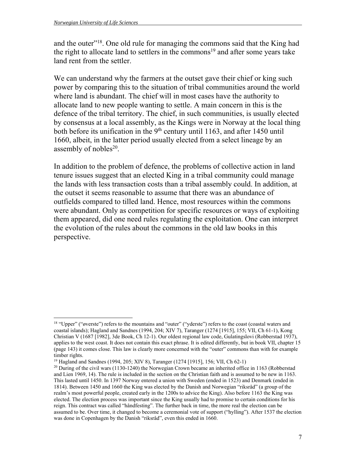$\overline{a}$ 

and the outer"<sup>18</sup>. One old rule for managing the commons said that the King had the right to allocate land to settlers in the commons<sup>19</sup> and after some years take land rent from the settler.

We can understand why the farmers at the outset gave their chief or king such power by comparing this to the situation of tribal communities around the world where land is abundant. The chief will in most cases have the authority to allocate land to new people wanting to settle. A main concern in this is the defence of the tribal territory. The chief, in such communities, is usually elected by consensus at a local assembly, as the Kings were in Norway at the local thing both before its unification in the  $9<sup>th</sup>$  century until 1163, and after 1450 until 1660, albeit, in the latter period usually elected from a select lineage by an assembly of nobles<sup>20</sup>.

In addition to the problem of defence, the problems of collective action in land tenure issues suggest that an elected King in a tribal community could manage the lands with less transaction costs than a tribal assembly could. In addition, at the outset it seems reasonable to assume that there was an abundance of outfields compared to tilled land. Hence, most resources within the commons were abundant. Only as competition for specific resources or ways of exploiting them appeared, did one need rules regulating the exploitation. One can interpret the evolution of the rules about the commons in the old law books in this perspective.

<sup>&</sup>lt;sup>18</sup> "Upper" ("øverste") refers to the mountains and "outer" ("yderste") refers to the coast (coastal waters and coastal islands); Hagland and Sandnes (1994, 204; XIV 7), Taranger (1274 [1915], 155; VII, Ch 61-1), Kong Christian V (1687 [1982], 3de Book, Ch 12-1). Our oldest regional law code, Gulatingslovi (Robberstad 1937), applies to the west coast. It does not contain this exact phrase. It is edited differently, but in book VII, chapter 15 (page 143) it comes close. This law is clearly more concerned with the "outer" commons than with for example timber rights.

<sup>&</sup>lt;sup>19</sup> Hagland and Sandnes (1994, 205; XIV 8), Taranger (1274 [1915], 156; VII, Ch 62-1)<br><sup>20</sup> During of the civil wars (1130-1240) the Norwegian Crown became an inherited office in 1163 (Robberstad and Lien 1969, 14). The rule is included in the section on the Christian faith and is assumed to be new in 1163. This lasted until 1450. In 1397 Norway entered a union with Sweden (ended in 1523) and Denmark (ended in 1814). Between 1450 and 1660 the King was elected by the Danish and Norwegian "riksråd" (a group of the realm's most powerful people, created early in the 1200s to advice the King). Also before 1163 the King was elected. The election process was important since the King usually had to promise to certain conditions for his reign. This contract was called "håndfesting". The further back in time, the more real the election can be assumed to be. Over time, it changed to become a ceremonial vote of support ("hylling"). After 1537 the election was done in Copenhagen by the Danish "riksråd", even this ended in 1660.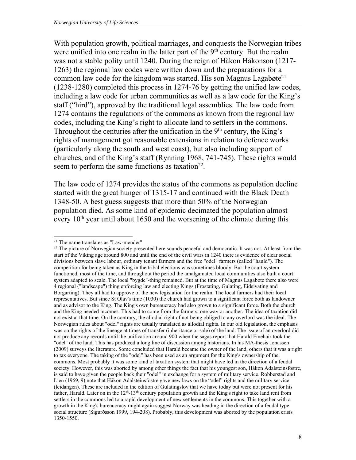With population growth, political marriages, and conquests the Norwegian tribes were unified into one realm in the latter part of the  $9<sup>th</sup>$  century. But the realm was not a stable polity until 1240. During the reign of Håkon Håkonson (1217- 1263) the regional law codes were written down and the preparations for a common law code for the kingdom was started. His son Magnus Lagabøte<sup>21</sup> (1238-1280) completed this process in 1274-76 by getting the unified law codes, including a law code for urban communities as well as a law code for the King's staff ("hird"), approved by the traditional legal assemblies. The law code from 1274 contains the regulations of the commons as known from the regional law codes, including the King's right to allocate land to settlers in the commons. Throughout the centuries after the unification in the  $9<sup>th</sup>$  century, the King's rights of management got reasonable extensions in relation to defence works (particularly along the south and west coast), but also including support of churches, and of the King's staff (Rynning 1968, 741-745). These rights would seem to perform the same functions as taxation<sup>22</sup>.

The law code of 1274 provides the status of the commons as population decline started with the great hunger of 1315-17 and continued with the Black Death 1348-50. A best guess suggests that more than 50% of the Norwegian population died. As some kind of epidemic decimated the population almost every  $10<sup>th</sup>$  year until about 1650 and the worsening of the climate during this

 21 The name translates as "Law-mender"

<sup>&</sup>lt;sup>22</sup> The picture of Norwegian society presented here sounds peaceful and democratic. It was not. At least from the start of the Viking age around 800 and until the end of the civil wars in 1240 there is evidence of clear social divisions between slave labour, ordinary tenant farmers and the free "odel" farmers (called "hauld"). The competition for being taken as King in the tribal elections was sometimes bloody. But the court system functioned, most of the time, and throughout the period the amalgamated local communities also built a court system adapted to scale. The local "bygde"-thing remained. But at the time of Magnus Lagabøte there also were 4 regional ("landscape") thing enforcing law and electing Kings (Frostating, Gulating, Eidsivating and Borgarting). They all had to approve of the new legislation for the realm. The local farmers had their local representatives. But since St Olav's time (1030) the church had grown to a significant force both as landowner and as advisor to the King. The King's own bureaucracy had also grown to a significant force. Both the church and the King needed incomes. This had to come from the farmers, one way or another. The idea of taxation did not exist at that time. On the contrary, the allodial right of not being obliged to any overlord was the ideal. The Norwegian rules about "odel" rights are usually translated as allodial rights. In our old legislation, the emphasis was on the rights of the lineage at times of transfer (inheritance or sale) of the land. The issue of an overlord did not produce any records until the unification around 900 when the sagas report that Harald Finehair took the "odel" of the land. This has produced a long line of discussion among historians. In his MA-thesis Jonassen (2009) surveys the literature. Some concluded that Harald became the owner of the land, others that it was a right to tax everyone. The taking of the "odel" has been used as an argument for the King's ownership of the commons. Most probably it was some kind of taxation system that might have led in the direction of a feudal society. However, this was aborted by among other things the fact that his youngest son, Håkon Adalsteinsfostre, is said to have given the people back their "odel" in exchange for a system of military service. Robberstad and Lien (1969, 9) note that Håkon Adalsteinsfostre gave new laws on the "odel" rights and the military service (leidangen). These are included in the edition of Gulatingslov that we have today but were not present for his father, Harald. Later on in the 12th-13th century population growth and the King's right to take land rent from settlers in the commons led to a rapid development of new settlements in the commons. This together with a growth in the King's bureaucracy might again suggest Norway was heading in the direction of a feudal type social structure (Sigurðsson 1999, 194-208). Probably, this development was aborted by the population crisis 1350-1550.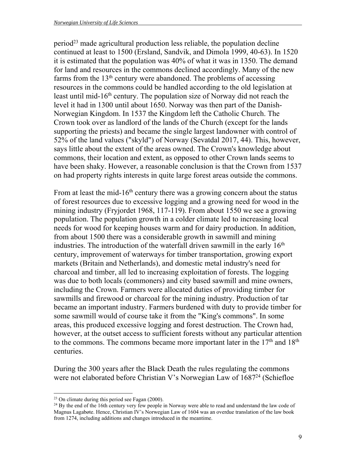$period<sup>23</sup>$  made agricultural production less reliable, the population decline continued at least to 1500 (Ersland, Sandvik, and Dimola 1999, 40-63). In 1520 it is estimated that the population was 40% of what it was in 1350. The demand for land and resources in the commons declined accordingly. Many of the new farms from the  $13<sup>th</sup>$  century were abandoned. The problems of accessing resources in the commons could be handled according to the old legislation at least until mid-16<sup>th</sup> century. The population size of Norway did not reach the level it had in 1300 until about 1650. Norway was then part of the Danish-Norwegian Kingdom. In 1537 the Kingdom left the Catholic Church. The Crown took over as landlord of the lands of the Church (except for the lands supporting the priests) and became the single largest landowner with control of 52% of the land values ("skyld") of Norway (Sevatdal 2017, 44). This, however, says little about the extent of the areas owned. The Crown's knowledge about commons, their location and extent, as opposed to other Crown lands seems to have been shaky. However, a reasonable conclusion is that the Crown from 1537 on had property rights interests in quite large forest areas outside the commons.

From at least the mid-16<sup>th</sup> century there was a growing concern about the status of forest resources due to excessive logging and a growing need for wood in the mining industry (Fryjordet 1968, 117-119). From about 1550 we see a growing population. The population growth in a colder climate led to increasing local needs for wood for keeping houses warm and for dairy production. In addition, from about 1500 there was a considerable growth in sawmill and mining industries. The introduction of the waterfall driven sawmill in the early  $16<sup>th</sup>$ century, improvement of waterways for timber transportation, growing export markets (Britain and Netherlands), and domestic metal industry's need for charcoal and timber, all led to increasing exploitation of forests. The logging was due to both locals (commoners) and city based sawmill and mine owners, including the Crown. Farmers were allocated duties of providing timber for sawmills and firewood or charcoal for the mining industry. Production of tar became an important industry. Farmers burdened with duty to provide timber for some sawmill would of course take it from the "King's commons". In some areas, this produced excessive logging and forest destruction. The Crown had, however, at the outset access to sufficient forests without any particular attention to the commons. The commons became more important later in the  $17<sup>th</sup>$  and  $18<sup>th</sup>$ centuries.

During the 300 years after the Black Death the rules regulating the commons were not elaborated before Christian V's Norwegian Law of 1687<sup>24</sup> (Schiefloe

 $\overline{a}$ 

<sup>23</sup> On climate during this period see Fagan (2000).

<sup>&</sup>lt;sup>24</sup> By the end of the 16th century very few people in Norway were able to read and understand the law code of Magnus Lagabøte. Hence, Christian IV's Norwegian Law of 1604 was an overdue translation of the law book from 1274, including additions and changes introduced in the meantime.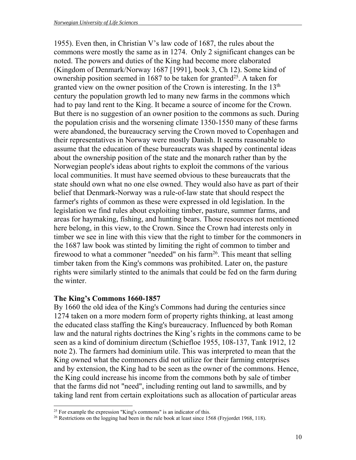1955). Even then, in Christian V's law code of 1687, the rules about the commons were mostly the same as in 1274. Only 2 significant changes can be noted. The powers and duties of the King had become more elaborated (Kingdom of Denmark/Norway 1687 [1991], book 3, Ch 12). Some kind of ownership position seemed in 1687 to be taken for granted<sup>25</sup>. A taken for granted view on the owner position of the Crown is interesting. In the 13<sup>th</sup> century the population growth led to many new farms in the commons which had to pay land rent to the King. It became a source of income for the Crown. But there is no suggestion of an owner position to the commons as such. During the population crisis and the worsening climate 1350-1550 many of these farms were abandoned, the bureaucracy serving the Crown moved to Copenhagen and their representatives in Norway were mostly Danish. It seems reasonable to assume that the education of these bureaucrats was shaped by continental ideas about the ownership position of the state and the monarch rather than by the Norwegian people's ideas about rights to exploit the commons of the various local communities. It must have seemed obvious to these bureaucrats that the state should own what no one else owned. They would also have as part of their belief that Denmark-Norway was a rule-of-law state that should respect the farmer's rights of common as these were expressed in old legislation. In the legislation we find rules about exploiting timber, pasture, summer farms, and areas for haymaking, fishing, and hunting bears. Those resources not mentioned here belong, in this view, to the Crown. Since the Crown had interests only in timber we see in line with this view that the right to timber for the commoners in the 1687 law book was stinted by limiting the right of common to timber and firewood to what a commoner "needed" on his farm<sup>26</sup>. This meant that selling timber taken from the King's commons was prohibited. Later on, the pasture rights were similarly stinted to the animals that could be fed on the farm during the winter.

#### **The King's Commons 1660-1857**

 $\overline{a}$ 

By 1660 the old idea of the King's Commons had during the centuries since 1274 taken on a more modern form of property rights thinking, at least among the educated class staffing the King's bureaucracy. Influenced by both Roman law and the natural rights doctrines the King's rights in the commons came to be seen as a kind of dominium directum (Schiefloe 1955, 108-137, Tank 1912, 12 note 2). The farmers had dominium utile. This was interpreted to mean that the King owned what the commoners did not utilize for their farming enterprises and by extension, the King had to be seen as the owner of the commons. Hence, the King could increase his income from the commons both by sale of timber that the farms did not "need", including renting out land to sawmills, and by taking land rent from certain exploitations such as allocation of particular areas

<sup>&</sup>lt;sup>25</sup> For example the expression "King's commons" is an indicator of this.<br><sup>26</sup> Restrictions on the logging had been in the rule book at least since 1568 (Fryjordet 1968, 118).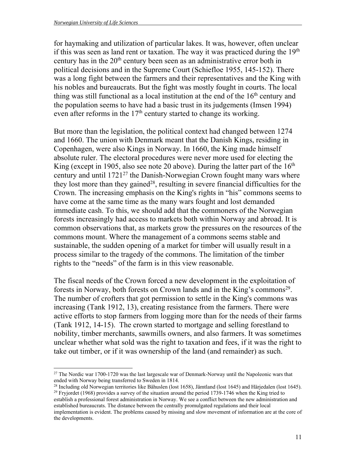for haymaking and utilization of particular lakes. It was, however, often unclear if this was seen as land rent or taxation. The way it was practiced during the  $19<sup>th</sup>$ century has in the  $20<sup>th</sup>$  century been seen as an administrative error both in political decisions and in the Supreme Court (Schiefloe 1955, 145-152). There was a long fight between the farmers and their representatives and the King with his nobles and bureaucrats. But the fight was mostly fought in courts. The local thing was still functional as a local institution at the end of the  $16<sup>th</sup>$  century and the population seems to have had a basic trust in its judgements (Imsen 1994) even after reforms in the 17<sup>th</sup> century started to change its working.

But more than the legislation, the political context had changed between 1274 and 1660. The union with Denmark meant that the Danish Kings, residing in Copenhagen, were also Kings in Norway. In 1660, the King made himself absolute ruler. The electoral procedures were never more used for electing the King (except in 1905, also see note 20 above). During the latter part of the  $16<sup>th</sup>$ century and until 1721<sup>27</sup> the Danish-Norwegian Crown fought many wars where they lost more than they gained<sup>28</sup>, resulting in severe financial difficulties for the Crown. The increasing emphasis on the King's rights in "his" commons seems to have come at the same time as the many wars fought and lost demanded immediate cash. To this, we should add that the commoners of the Norwegian forests increasingly had access to markets both within Norway and abroad. It is common observations that, as markets grow the pressures on the resources of the commons mount. Where the management of a commons seems stable and sustainable, the sudden opening of a market for timber will usually result in a process similar to the tragedy of the commons. The limitation of the timber rights to the "needs" of the farm is in this view reasonable.

The fiscal needs of the Crown forced a new development in the exploitation of forests in Norway, both forests on Crown lands and in the King's commons<sup>29</sup>. The number of crofters that got permission to settle in the King's commons was increasing (Tank 1912, 13), creating resistance from the farmers. There were active efforts to stop farmers from logging more than for the needs of their farms (Tank 1912, 14-15). The crown started to mortgage and selling forestland to nobility, timber merchants, sawmills owners, and also farmers. It was sometimes unclear whether what sold was the right to taxation and fees, if it was the right to take out timber, or if it was ownership of the land (and remainder) as such.

 $\overline{a}$ <sup>27</sup> The Nordic war 1700-1720 was the last largescale war of Denmark-Norway until the Napoleonic wars that ended with Norway being transferred to Sweden in 1814.<br><sup>28</sup> Including old Norwegian territories like Båhuslen (lost 1658), Jämtland (lost 1645) and Härjedalen (lost 1645).

<sup>&</sup>lt;sup>29</sup> Fryjordet (1968) provides a survey of the situation around the period 1739-1746 when the King tried to establish a professional forest administration in Norway. We see a conflict between the new administration and established bureaucrats. The distance between the centrally promulgated regulations and their local implementation is evident. The problems caused by missing and slow movement of information are at the core of the developments.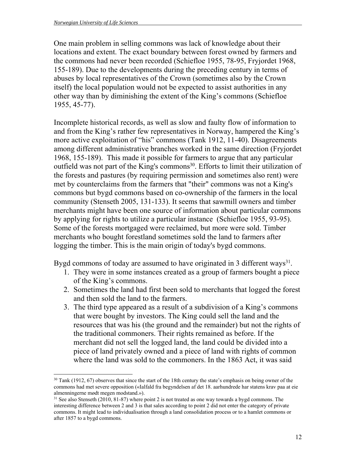$\overline{a}$ 

One main problem in selling commons was lack of knowledge about their locations and extent. The exact boundary between forest owned by farmers and the commons had never been recorded (Schiefloe 1955, 78-95, Fryjordet 1968, 155-189). Due to the developments during the preceding century in terms of abuses by local representatives of the Crown (sometimes also by the Crown itself) the local population would not be expected to assist authorities in any other way than by diminishing the extent of the King's commons (Schiefloe 1955, 45-77).

Incomplete historical records, as well as slow and faulty flow of information to and from the King's rather few representatives in Norway, hampered the King's more active exploitation of "his" commons (Tank 1912, 11-40). Disagreements among different administrative branches worked in the same direction (Fryjordet 1968, 155-189). This made it possible for farmers to argue that any particular outfield was not part of the King's commons<sup>30</sup>. Efforts to limit their utilization of the forests and pastures (by requiring permission and sometimes also rent) were met by counterclaims from the farmers that "their" commons was not a King's commons but bygd commons based on co-ownership of the farmers in the local community (Stenseth 2005, 131-133). It seems that sawmill owners and timber merchants might have been one source of information about particular commons by applying for rights to utilize a particular instance (Schiefloe 1955, 93-95). Some of the forests mortgaged were reclaimed, but more were sold. Timber merchants who bought forestland sometimes sold the land to farmers after logging the timber. This is the main origin of today's bygd commons.

Bygd commons of today are assumed to have originated in 3 different ways<sup>31</sup>.

- 1. They were in some instances created as a group of farmers bought a piece of the King's commons.
- 2. Sometimes the land had first been sold to merchants that logged the forest and then sold the land to the farmers.
- 3. The third type appeared as a result of a subdivision of a King's commons that were bought by investors. The King could sell the land and the resources that was his (the ground and the remainder) but not the rights of the traditional commoners. Their rights remained as before. If the merchant did not sell the logged land, the land could be divided into a piece of land privately owned and a piece of land with rights of common where the land was sold to the commoners. In the 1863 Act, it was said

<sup>&</sup>lt;sup>30</sup> Tank (1912, 67) observes that since the start of the 18th century the state's emphasis on being owner of the commons had met severe opposition («Ialfald fra begyndelsen af det 18. aarhundrede har statens krav paa at eie almenningerne mødt megen modstand.»).

<sup>&</sup>lt;sup>31</sup> See also Stenseth (2010, 81-87) where point 2 is not treated as one way towards a bygd commons. The interesting difference between 2 and 3 is that sales according to point 2 did not enter the category of private commons. It might lead to individualisation through a land consolidation process or to a hamlet commons or after 1857 to a bygd commons.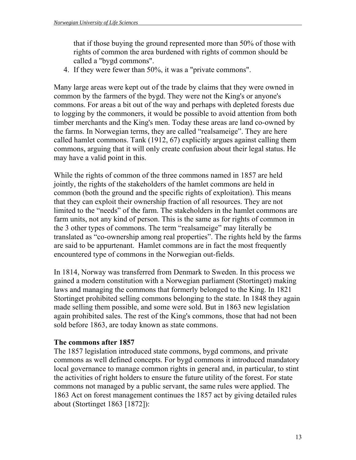that if those buying the ground represented more than 50% of those with rights of common the area burdened with rights of common should be called a "bygd commons".

4. If they were fewer than 50%, it was a "private commons".

Many large areas were kept out of the trade by claims that they were owned in common by the farmers of the bygd. They were not the King's or anyone's commons. For areas a bit out of the way and perhaps with depleted forests due to logging by the commoners, it would be possible to avoid attention from both timber merchants and the King's men. Today these areas are land co-owned by the farms. In Norwegian terms, they are called "realsameige". They are here called hamlet commons. Tank (1912, 67) explicitly argues against calling them commons, arguing that it will only create confusion about their legal status. He may have a valid point in this.

While the rights of common of the three commons named in 1857 are held jointly, the rights of the stakeholders of the hamlet commons are held in common (both the ground and the specific rights of exploitation). This means that they can exploit their ownership fraction of all resources. They are not limited to the "needs" of the farm. The stakeholders in the hamlet commons are farm units, not any kind of person. This is the same as for rights of common in the 3 other types of commons. The term "realsameige" may literally be translated as "co-ownership among real properties". The rights held by the farms are said to be appurtenant. Hamlet commons are in fact the most frequently encountered type of commons in the Norwegian out-fields.

In 1814, Norway was transferred from Denmark to Sweden. In this process we gained a modern constitution with a Norwegian parliament (Stortinget) making laws and managing the commons that formerly belonged to the King. In 1821 Stortinget prohibited selling commons belonging to the state. In 1848 they again made selling them possible, and some were sold. But in 1863 new legislation again prohibited sales. The rest of the King's commons, those that had not been sold before 1863, are today known as state commons.

#### **The commons after 1857**

The 1857 legislation introduced state commons, bygd commons, and private commons as well defined concepts. For bygd commons it introduced mandatory local governance to manage common rights in general and, in particular, to stint the activities of right holders to ensure the future utility of the forest. For state commons not managed by a public servant, the same rules were applied. The 1863 Act on forest management continues the 1857 act by giving detailed rules about (Stortinget 1863 [1872]):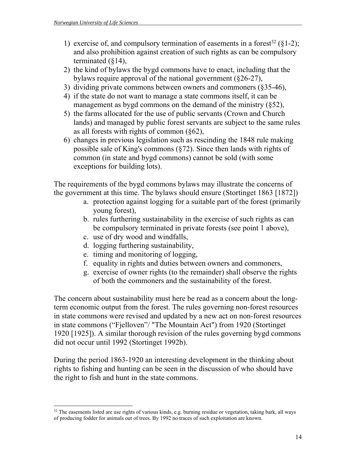- 1) exercise of, and compulsory termination of easements in a forest<sup>32</sup> ( $\S 1-2$ ); and also prohibition against creation of such rights as can be compulsory terminated (§14),
- 2) the kind of bylaws the bygd commons have to enact, including that the bylaws require approval of the national government (§26-27),
- 3) dividing private commons between owners and commoners (§35-46),
- 4) if the state do not want to manage a state commons itself, it can be management as bygd commons on the demand of the ministry (§52),
- 5) the farms allocated for the use of public servants (Crown and Church lands) and managed by public forest servants are subject to the same rules as all forests with rights of common (§62),
- 6) changes in previous legislation such as rescinding the 1848 rule making possible sale of King's commons (§72). Since then lands with rights of common (in state and bygd commons) cannot be sold (with some exceptions for building lots).

The requirements of the bygd commons bylaws may illustrate the concerns of the government at this time. The bylaws should ensure (Stortinget 1863 [1872])

- a. protection against logging for a suitable part of the forest (primarily young forest),
- b. rules furthering sustainability in the exercise of such rights as can be compulsory terminated in private forests (see point 1 above),
- c. use of dry wood and windfalls,
- d. logging furthering sustainability,
- e. timing and monitoring of logging,
- f. equality in rights and duties between owners and commoners,
- g. exercise of owner rights (to the remainder) shall observe the rights of both the commoners and the sustainability of the forest.

The concern about sustainability must here be read as a concern about the longterm economic output from the forest. The rules governing non-forest resources in state commons were revised and updated by a new act on non-forest resources in state commons ("Fjelloven"/ "The Mountain Act") from 1920 (Stortinget 1920 [1925]). A similar thorough revision of the rules governing bygd commons did not occur until 1992 (Stortinget 1992b).

During the period 1863-1920 an interesting development in the thinking about rights to fishing and hunting can be seen in the discussion of who should have the right to fish and hunt in the state commons.

 $\overline{a}$ <sup>32</sup> The easements listed are use rights of various kinds, e.g. burning residue or vegetation, taking bark, all ways of producing fodder for animals out of trees. By 1992 no traces of such exploitation are known.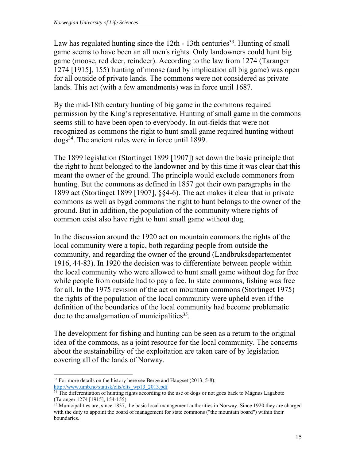Law has regulated hunting since the  $12$ th -  $13$ th centuries<sup>33</sup>. Hunting of small game seems to have been an all men's rights. Only landowners could hunt big game (moose, red deer, reindeer). According to the law from 1274 (Taranger 1274 [1915], 155) hunting of moose (and by implication all big game) was open for all outside of private lands. The commons were not considered as private lands. This act (with a few amendments) was in force until 1687.

By the mid-18th century hunting of big game in the commons required permission by the King's representative. Hunting of small game in the commons seems still to have been open to everybody. In out-fields that were not recognized as commons the right to hunt small game required hunting without dogs34. The ancient rules were in force until 1899.

The 1899 legislation (Stortinget 1899 [1907]) set down the basic principle that the right to hunt belonged to the landowner and by this time it was clear that this meant the owner of the ground. The principle would exclude commoners from hunting. But the commons as defined in 1857 got their own paragraphs in the 1899 act (Stortinget 1899 [1907], §§4-6). The act makes it clear that in private commons as well as bygd commons the right to hunt belongs to the owner of the ground. But in addition, the population of the community where rights of common exist also have right to hunt small game without dog.

In the discussion around the 1920 act on mountain commons the rights of the local community were a topic, both regarding people from outside the community, and regarding the owner of the ground (Landbruksdepartementet 1916, 44-83). In 1920 the decision was to differentiate between people within the local community who were allowed to hunt small game without dog for free while people from outside had to pay a fee. In state commons, fishing was free for all. In the 1975 revision of the act on mountain commons (Stortinget 1975) the rights of the population of the local community were upheld even if the definition of the boundaries of the local community had become problematic due to the amalgamation of municipalities $35$ .

The development for fishing and hunting can be seen as a return to the original idea of the commons, as a joint resource for the local community. The concerns about the sustainability of the exploitation are taken care of by legislation covering all of the lands of Norway.

 $\overline{a}$ <sup>33</sup> For more details on the history here see Berge and Haugset (2013, 5-8); http://www.umb.no/statisk/clts/clts wp13 2013.pdf

 $\frac{34 \text{ The differentiation of hunting rights according to the use of dogs or not goes back to Magnus Lagabote}$ (Taranger 1274 [1915], 154-155).

<sup>&</sup>lt;sup>35</sup> Municipalities are, since 1837, the basic local management authorities in Norway. Since 1920 they are charged with the duty to appoint the board of management for state commons ("the mountain board") within their boundaries.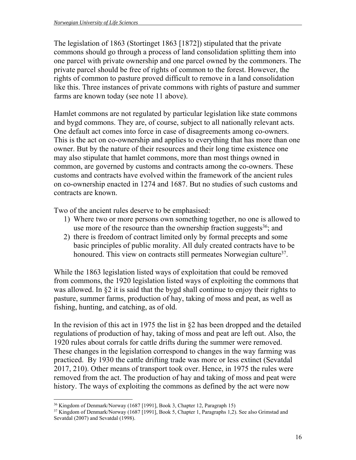The legislation of 1863 (Stortinget 1863 [1872]) stipulated that the private commons should go through a process of land consolidation splitting them into one parcel with private ownership and one parcel owned by the commoners. The private parcel should be free of rights of common to the forest. However, the rights of common to pasture proved difficult to remove in a land consolidation like this. Three instances of private commons with rights of pasture and summer farms are known today (see note 11 above).

Hamlet commons are not regulated by particular legislation like state commons and bygd commons. They are, of course, subject to all nationally relevant acts. One default act comes into force in case of disagreements among co-owners. This is the act on co-ownership and applies to everything that has more than one owner. But by the nature of their resources and their long time existence one may also stipulate that hamlet commons, more than most things owned in common, are governed by customs and contracts among the co-owners. These customs and contracts have evolved within the framework of the ancient rules on co-ownership enacted in 1274 and 1687. But no studies of such customs and contracts are known.

Two of the ancient rules deserve to be emphasised:

- 1) Where two or more persons own something together, no one is allowed to use more of the resource than the ownership fraction suggests  $36$ ; and
- 2) there is freedom of contract limited only by formal precepts and some basic principles of public morality. All duly created contracts have to be honoured. This view on contracts still permeates Norwegian culture<sup>37</sup>.

While the 1863 legislation listed ways of exploitation that could be removed from commons, the 1920 legislation listed ways of exploiting the commons that was allowed. In §2 it is said that the bygd shall continue to enjoy their rights to pasture, summer farms, production of hay, taking of moss and peat, as well as fishing, hunting, and catching, as of old.

In the revision of this act in 1975 the list in §2 has been dropped and the detailed regulations of production of hay, taking of moss and peat are left out. Also, the 1920 rules about corrals for cattle drifts during the summer were removed. These changes in the legislation correspond to changes in the way farming was practiced. By 1930 the cattle drifting trade was more or less extinct (Sevatdal 2017, 210). Other means of transport took over. Hence, in 1975 the rules were removed from the act. The production of hay and taking of moss and peat were history. The ways of exploiting the commons as defined by the act were now

 $\overline{a}$ 

<sup>36</sup> Kingdom of Denmark/Norway (1687 [1991], Book 3, Chapter 12, Paragraph 15)

<sup>&</sup>lt;sup>37</sup> Kingdom of Denmark/Norway (1687 [1991], Book 5, Chapter 1, Paragraphs 1,2). See also Grimstad and Sevatdal (2007) and Sevatdal (1998).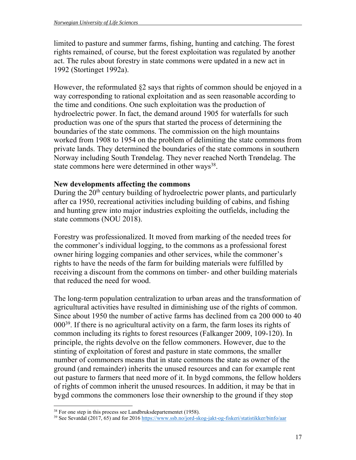limited to pasture and summer farms, fishing, hunting and catching. The forest rights remained, of course, but the forest exploitation was regulated by another act. The rules about forestry in state commons were updated in a new act in 1992 (Stortinget 1992a).

However, the reformulated §2 says that rights of common should be enjoyed in a way corresponding to rational exploitation and as seen reasonable according to the time and conditions. One such exploitation was the production of hydroelectric power. In fact, the demand around 1905 for waterfalls for such production was one of the spurs that started the process of determining the boundaries of the state commons. The commission on the high mountains worked from 1908 to 1954 on the problem of delimiting the state commons from private lands. They determined the boundaries of the state commons in southern Norway including South Trøndelag. They never reached North Trøndelag. The state commons here were determined in other ways<sup>38</sup>.

#### **New developments affecting the commons**

During the 20<sup>th</sup> century building of hydroelectric power plants, and particularly after ca 1950, recreational activities including building of cabins, and fishing and hunting grew into major industries exploiting the outfields, including the state commons (NOU 2018).

Forestry was professionalized. It moved from marking of the needed trees for the commoner's individual logging, to the commons as a professional forest owner hiring logging companies and other services, while the commoner's rights to have the needs of the farm for building materials were fulfilled by receiving a discount from the commons on timber- and other building materials that reduced the need for wood.

The long-term population centralization to urban areas and the transformation of agricultural activities have resulted in diminishing use of the rights of common. Since about 1950 the number of active farms has declined from ca 200 000 to 40  $000^{39}$ . If there is no agricultural activity on a farm, the farm loses its rights of common including its rights to forest resources (Falkanger 2009, 109-120). In principle, the rights devolve on the fellow commoners. However, due to the stinting of exploitation of forest and pasture in state commons, the smaller number of commoners means that in state commons the state as owner of the ground (and remainder) inherits the unused resources and can for example rent out pasture to farmers that need more of it. In bygd commons, the fellow holders of rights of common inherit the unused resources. In addition, it may be that in bygd commons the commoners lose their ownership to the ground if they stop

 $\overline{a}$ 

<sup>&</sup>lt;sup>38</sup> For one step in this process see Landbruksdepartementet (1958).<br><sup>39</sup> See Sevatdal (2017, 65) and for 2016 https://www.ssb.no/jord-skog-jakt-og-fiskeri/statistikker/binfo/aar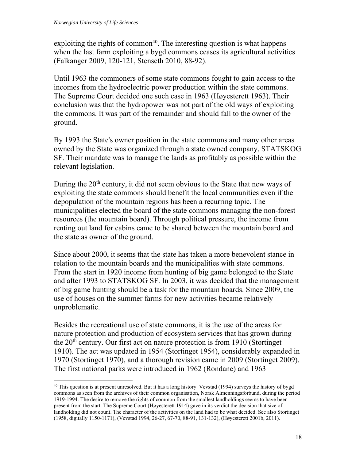$\overline{a}$ 

exploiting the rights of common<sup>40</sup>. The interesting question is what happens when the last farm exploiting a bygd commons ceases its agricultural activities (Falkanger 2009, 120-121, Stenseth 2010, 88-92).

Until 1963 the commoners of some state commons fought to gain access to the incomes from the hydroelectric power production within the state commons. The Supreme Court decided one such case in 1963 (Høyesterett 1963). Their conclusion was that the hydropower was not part of the old ways of exploiting the commons. It was part of the remainder and should fall to the owner of the ground.

By 1993 the State's owner position in the state commons and many other areas owned by the State was organized through a state owned company, STATSKOG SF. Their mandate was to manage the lands as profitably as possible within the relevant legislation.

During the 20<sup>th</sup> century, it did not seem obvious to the State that new ways of exploiting the state commons should benefit the local communities even if the depopulation of the mountain regions has been a recurring topic. The municipalities elected the board of the state commons managing the non-forest resources (the mountain board). Through political pressure, the income from renting out land for cabins came to be shared between the mountain board and the state as owner of the ground.

Since about 2000, it seems that the state has taken a more benevolent stance in relation to the mountain boards and the municipalities with state commons. From the start in 1920 income from hunting of big game belonged to the State and after 1993 to STATSKOG SF. In 2003, it was decided that the management of big game hunting should be a task for the mountain boards. Since 2009, the use of houses on the summer farms for new activities became relatively unproblematic.

Besides the recreational use of state commons, it is the use of the areas for nature protection and production of ecosystem services that has grown during the  $20<sup>th</sup>$  century. Our first act on nature protection is from 1910 (Stortinget 1910). The act was updated in 1954 (Stortinget 1954), considerably expanded in 1970 (Stortinget 1970), and a thorough revision came in 2009 (Stortinget 2009). The first national parks were introduced in 1962 (Rondane) and 1963

<sup>&</sup>lt;sup>40</sup> This question is at present unresolved. But it has a long history. Vevstad (1994) surveys the history of bygd commons as seen from the archives of their common organisation, Norsk Almenningsforbund, during the period 1919-1994. The desire to remove the rights of common from the smallest landholdings seems to have been present from the start. The Supreme Court (Høyesterett 1914) gave in its verdict the decision that size of landholding did not count. The character of the activities on the land had to be what decided. See also Stortinget (1958, digitally 1150-1171), (Vevstad 1994, 26-27, 67-70, 88-91, 131-132), (Høyesterett 2001b, 2011).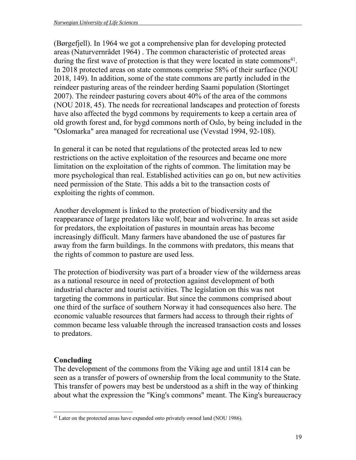(Børgefjell). In 1964 we got a comprehensive plan for developing protected areas (Naturvernrådet 1964) . The common characteristic of protected areas during the first wave of protection is that they were located in state commons<sup>41</sup>. In 2018 protected areas on state commons comprise 58% of their surface (NOU 2018, 149). In addition, some of the state commons are partly included in the reindeer pasturing areas of the reindeer herding Saami population (Stortinget 2007). The reindeer pasturing covers about 40% of the area of the commons (NOU 2018, 45). The needs for recreational landscapes and protection of forests have also affected the bygd commons by requirements to keep a certain area of old growth forest and, for bygd commons north of Oslo, by being included in the "Oslomarka" area managed for recreational use (Vevstad 1994, 92-108).

In general it can be noted that regulations of the protected areas led to new restrictions on the active exploitation of the resources and became one more limitation on the exploitation of the rights of common. The limitation may be more psychological than real. Established activities can go on, but new activities need permission of the State. This adds a bit to the transaction costs of exploiting the rights of common.

Another development is linked to the protection of biodiversity and the reappearance of large predators like wolf, bear and wolverine. In areas set aside for predators, the exploitation of pastures in mountain areas has become increasingly difficult. Many farmers have abandoned the use of pastures far away from the farm buildings. In the commons with predators, this means that the rights of common to pasture are used less.

The protection of biodiversity was part of a broader view of the wilderness areas as a national resource in need of protection against development of both industrial character and tourist activities. The legislation on this was not targeting the commons in particular. But since the commons comprised about one third of the surface of southern Norway it had consequences also here. The economic valuable resources that farmers had access to through their rights of common became less valuable through the increased transaction costs and losses to predators.

### **Concluding**

The development of the commons from the Viking age and until 1814 can be seen as a transfer of powers of ownership from the local community to the State. This transfer of powers may best be understood as a shift in the way of thinking about what the expression the "King's commons" meant. The King's bureaucracy

 $\overline{a}$ <sup>41</sup> Later on the protected areas have expanded onto privately owned land (NOU 1986).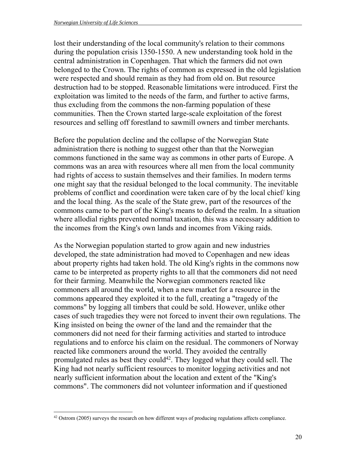lost their understanding of the local community's relation to their commons during the population crisis 1350-1550. A new understanding took hold in the central administration in Copenhagen. That which the farmers did not own belonged to the Crown. The rights of common as expressed in the old legislation were respected and should remain as they had from old on. But resource destruction had to be stopped. Reasonable limitations were introduced. First the exploitation was limited to the needs of the farm, and further to active farms, thus excluding from the commons the non-farming population of these communities. Then the Crown started large-scale exploitation of the forest resources and selling off forestland to sawmill owners and timber merchants.

Before the population decline and the collapse of the Norwegian State administration there is nothing to suggest other than that the Norwegian commons functioned in the same way as commons in other parts of Europe. A commons was an area with resources where all men from the local community had rights of access to sustain themselves and their families. In modern terms one might say that the residual belonged to the local community. The inevitable problems of conflict and coordination were taken care of by the local chief/ king and the local thing. As the scale of the State grew, part of the resources of the commons came to be part of the King's means to defend the realm. In a situation where allodial rights prevented normal taxation, this was a necessary addition to the incomes from the King's own lands and incomes from Viking raids.

As the Norwegian population started to grow again and new industries developed, the state administration had moved to Copenhagen and new ideas about property rights had taken hold. The old King's rights in the commons now came to be interpreted as property rights to all that the commoners did not need for their farming. Meanwhile the Norwegian commoners reacted like commoners all around the world, when a new market for a resource in the commons appeared they exploited it to the full, creating a "tragedy of the commons" by logging all timbers that could be sold. However, unlike other cases of such tragedies they were not forced to invent their own regulations. The King insisted on being the owner of the land and the remainder that the commoners did not need for their farming activities and started to introduce regulations and to enforce his claim on the residual. The commoners of Norway reacted like commoners around the world. They avoided the centrally promulgated rules as best they could<sup>42</sup>. They logged what they could sell. The King had not nearly sufficient resources to monitor logging activities and not nearly sufficient information about the location and extent of the "King's commons". The commoners did not volunteer information and if questioned

 $\overline{a}$ 42 Ostrom (2005) surveys the research on how different ways of producing regulations affects compliance.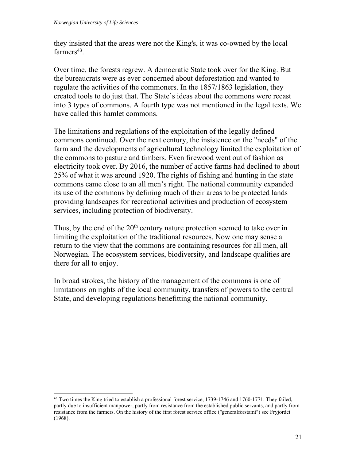they insisted that the areas were not the King's, it was co-owned by the local  $farmers<sup>43</sup>$ .

Over time, the forests regrew. A democratic State took over for the King. But the bureaucrats were as ever concerned about deforestation and wanted to regulate the activities of the commoners. In the 1857/1863 legislation, they created tools to do just that. The State's ideas about the commons were recast into 3 types of commons. A fourth type was not mentioned in the legal texts. We have called this hamlet commons.

The limitations and regulations of the exploitation of the legally defined commons continued. Over the next century, the insistence on the "needs" of the farm and the developments of agricultural technology limited the exploitation of the commons to pasture and timbers. Even firewood went out of fashion as electricity took over. By 2016, the number of active farms had declined to about 25% of what it was around 1920. The rights of fishing and hunting in the state commons came close to an all men's right. The national community expanded its use of the commons by defining much of their areas to be protected lands providing landscapes for recreational activities and production of ecosystem services, including protection of biodiversity.

Thus, by the end of the 20<sup>th</sup> century nature protection seemed to take over in limiting the exploitation of the traditional resources. Now one may sense a return to the view that the commons are containing resources for all men, all Norwegian. The ecosystem services, biodiversity, and landscape qualities are there for all to enjoy.

In broad strokes, the history of the management of the commons is one of limitations on rights of the local community, transfers of powers to the central State, and developing regulations benefitting the national community.

 $\overline{a}$ <sup>43</sup> Two times the King tried to establish a professional forest service, 1739-1746 and 1760-1771. They failed, partly due to insufficient manpower, partly from resistance from the established public servants, and partly from resistance from the farmers. On the history of the first forest service office ("generalforstamt") see Fryjordet (1968).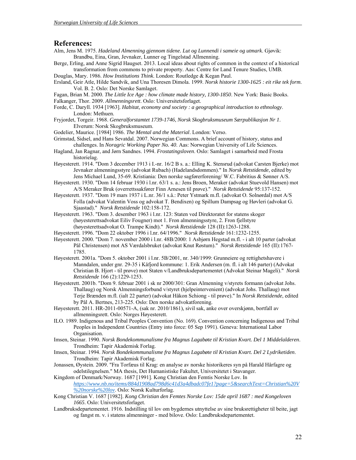#### **References:**

- Alm, Jens M. 1975. *Hadeland Almenning gjennom tidene. Lut og Lunnendi i sameie og utmark*. Gjøvik: Brandbu, Eina, Gran, Jevnaker, Lunner og Tingelstad Allmenning.
- Berge, Erling, and Anne Sigrid Haugset. 2013. Local ideas about rights of common in the context of a historical transformation from commons to private property. Aas: Centre for Land Tenure Studies, UMB.
- Douglas, Mary. 1986. *How Institutions Think*. London: Routledge & Kegan Paul.
- Ersland, Geir Atle, Hilde Sandvik, and Una Thoresen Dimola. 1999. *Norsk historie 1300-1625 : eit rike tek form*. Vol. B. 2. Oslo: Det Norske Samlaget.
- Fagan, Brian M. 2000. *The Little Ice Age : how climate made history, 1300-1850*. New York: Basic Books.
- Falkanger, Thor. 2009. *Allmenningsrett*. Oslo: Universitetsforlaget.
- Forde, C. Daryll. 1934 [1963]. *Habitat, economy and society : a geographical introduction to ethnology*. London: Methuen.
- Fryjordet, Torgeir. 1968. *Generalforstamtet 1739-1746*, *Norsk Skogbruksmuseum Særpublikasjon Nr 1*. Elverum: Norsk Skogbruksmuseum.
- Godelier, Maurice. [1984] 1986. *The Mental and the Material*. London: Verso.
- Grimstad, Sidsel, and Hans Sevatdal. 2007. Norwegian Commons. A brief account of history, status and challenges. In *Noragric Working Paper No. 40*. Aas: Norwegian University of Life Sciences.
- Hagland, Jan Ragnar, and Jørn Sandnes. 1994. *Frostatingsloven*. Oslo: Samlaget i samarbeid med Frosta historielag.
- Høyesterett. 1914. "Dom 3 december 1913 i I.-nr. 16/2 B s. a.: Elling K. Stensrud (advokat Carsten Bjerke) mot Jevnaker almenningsstyre (advokat Rubach) (Hadelandsdommen)." In *Norsk Retstidende*, edited by Jens Michael Lund, 35-69. Kristiania: Den norske sagførerforening/ W.C. Fabritius & Sønner A/S.
- Høyesterett. 1930. "Dom 14 februar 1930 i l.nr. 63/1 s. a.: Jens Broen, Meraker (advokat Stuevold Hansen) mot A/S Meraker Bruk (overrettssakfører Finn Arnesen til prøve)." *Norsk Retstidende* 95:137-152.
- Høyesterett. 1937. "Dom 19 mars 1937 i L.nr. 36/1 s.å.: Peter Ystmark m.fl. (advokat O. Solnørdal) mot A/S Folla (advokat Valentin Voss og advokat T. Bendixen) og Spillum Dampsag og Høvleri (advokat G. Sjaastad)." *Norsk Retstidende* 102:158-172.
- Høyesterett. 1963. "Dom 3. desember 1963 i l.nr. 123: Staten ved Direktoratet for statens skoger (høyesterettsadvokat Eiliv Fougner) mot 1. Fron almenningsstyre, 2. Fron fjellstyre (høyesterettsadvokat O. Trampe Kindt)." *Norsk Retstidende* 128 (II):1263-1288.
- Høyesterett. 1996. "Dom 22 oktober 1996 i l.nr. 64/1996." *Norsk Retstidende* 161:1232-1255.
- Høyesterett. 2000. "Dom 7. november 2000 i l.nr. 48B/2000: 1 Asbjørn Hegstad m.fl. i alt 10 parter (advokat Pål Christensen) mot AS Værdalsbruket (advokat Knut Røstum)." *Norsk Retstidende* 165 (II):1767- 1785.
- Høyesterett. 2001a. "Dom 5. oktober 2001 i l.nr. 5B/2001, nr. 340/1999: Grunneiere og rettighetshavere i Manndalen, under gnr. 29-35 i Kåfjord kommune: 1. Erik Andersen (m. fl. i alt 146 parter) (Advokat Christian B. Hjort - til prøve) mot Staten v/Landbruksdepartementet (Advokat Steinar Mageli)." *Norsk Retstidende* 166 (2):1229-1253.
- Høyesterett. 2001b. "Dom 9. februar 2001 i sk nr 2000/301: Gran Almenning v/styrets formann (advokat Johs. Thallaug) og Norsk Almenningsforbund v/styret (hjelpeintervenient) (advokat Johs. Thallaug) mot Terje Brænden m.fl. (ialt 22 parter) (advokat Håkon Schiong - til prøve)." In *Norsk Retstidende*, edited by Pål A. Bertnes, 213-225. Oslo: Den norske advokatforening.
- Høyesterett. 2011. HR-2011-00571-A, (sak nr. 2010/1861), sivil sak, anke over overskjønn, bortfall av allmenningsrett. Oslo: Norges Høyesterett.
- ILO. 1989. Indigenous and Tribal Peoples Convention (No. 169). Convention concerning Indigenous and Tribal Peoples in Independent Countries (Entry into force: 05 Sep 1991). Geneva: International Labor Organisation.
- Imsen, Steinar. 1990. *Norsk Bondekommunalisme fra Magnus Lagabøte til Kristian Kvart. Del 1 Middelalderen*. Trondheim: Tapir Akademisk Forlag.
- Imsen, Steinar. 1994. *Norsk Bondekommunalisme fra Magnus Lagabøte til Kristian Kvart. Del 2 Lydriketiden*. Trondheim: Tapir Akademisk Forlag.
- Jonassen, Øystein. 2009. "Fra Torfæus til Krag: en analyse av norske historikeres syn på Harald Hårfagre og odelstilegnelsen." MA thesis, Det Humanistiske Fakultet, Universitetet i Stavanger.
- Kingdom of Denmark/Norway. 1687 [1991]. Kong Christian den Femtis Norske Lov. In *https://www.nb.no/items/884d1908ad798d6c41d3a4dbadc07fe1?page=5&searchText=Christian%20V %20norske%20lov*. Oslo: Norsk Kulturforlag.
- Kong Christian V. 1687 [1982]. *Kong Christian den Femtes Norske Lov: 15de april 1687 : med Kongeloven 1665*. Oslo: Universitetsforlaget.
- Landbruksdepartementet. 1916. Indstilling til lov om bygdernes utnyttelse av sine bruksrettigheter til beite, jagt og fangst m. v. i statens almenninger - med bilove. Oslo: Landbruksdepartementet.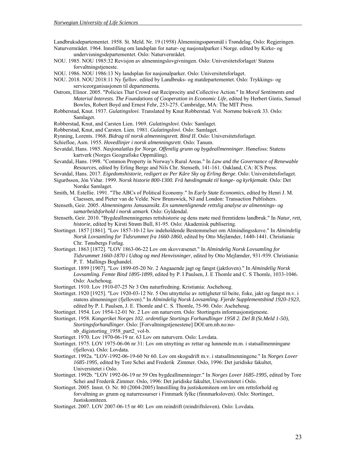Landbruksdepartementet. 1958. St. Meld. Nr. 19 (1958) Ålmenningsspørsmål i Trøndelag. Oslo: Regjeringen. Naturvernrådet. 1964. Innstilling om landsplan for natur- og nasjonalparker i Norge. edited by Kirke- og

undervisningsdepartementet. Oslo: Naturvernrådet.

- NOU. 1985. NOU 1985:32 Revisjon av almenningslovgivningen. Oslo: Universitetsforlaget/ Statens forvaltningstjeneste.
- NOU. 1986. NOU 1986:13 Ny landsplan for nasjonalparker. Oslo: Universitetsforlaget.

NOU. 2018. NOU 2018:11 Ny fjellov. edited by Landbruks- og matdepartementet. Oslo: Trykkings- og serviceorganisasjonen til departementa.

Ostrom, Elinor. 2005. "Policies That Crowd out Reciprocity and Collective Action." In *Moral Sentiments and Material Interests. The Foundations of Cooperation in Economic Life*, edited by Herbert Gintis, Samuel Bowles, Robert Boyd and Ernest Fehr, 253-275. Cambridge, MA: The MIT Press.

- Robberstad, Knut. 1937. *Gulatingslovi*. Translated by Knut Robberstad. Vol. Norrøne bokverk 33. Oslo: Samlaget.
- Robberstad, Knut, and Carsten Lien. 1969. *Gulatingslovi*. Oslo: Samlaget.
- Robberstad, Knut, and Carsten. Lien. 1981. *Gulatingslovi*. Oslo: Samlaget.
- Rynning, Lorents. 1968. *Bidrag til norsk almenningsrett. Bind II*. Oslo: Universitetsforlaget.
- Schiefloe, Asm. 1955. *Hovedlinjer i norsk almenningsrett*. Oslo: Tanum.
- Sevatdal, Hans. 1985. *Nasjonalatlas for Norge. Offentlig grunn og bygdeallmenninger*. Hønefoss: Statens kartverk (Norges Geografiske Oppmåling).
- Sevatdal, Hans. 1998. "Common Property in Norway's Rural Areas." In *Law and the Governance of Renewable Resources*, edited by Erling Berge and Nils Chr. Stenseth, 141-161. Oakland, CA: ICS Press.

Sevatdal, Hans. 2017. *Eigedomshistorie, redigert av Per Kåre Sky og Erling Berge*. Oslo: Universitetsforlaget.

- Sigurðsson, Jón Viðar. 1999. *Norsk historie 800-1300. Frå høvdingmakt til konge- og kyrkjemakt*. Oslo: Det Norske Samlaget.
- Smith, M. Estellie. 1991. "The ABCs of Political Economy." In *Early State Economics*, edited by Henri J. M. Claessen, and Pieter van de Velde. New Brunswick, NJ and London: Transaction Publishers.
- Stenseth, Geir. 2005. *Almenningens Janusansikt. En sammenlignende rettslig analyse av almennings- og samarbeidsforhold i norsk utmark*. Oslo: Gyldendal.
- Stenseth, Geir. 2010. "Bygdeallmenningenes rettshistorie og dens møte med fremtidens landbruk." In *Natur, rett, historie*, edited by Kirsti Strøm Bull, 81-95. Oslo: Akademisk publisering.
- Stortinget. 1857 [1861]. "Lov 1857-10-12 lov indeholdende Bestemmelser om Almindingsskove." In *Almindelig Norsk Lovsamling for Tidsrummet fra 1660-1860*, edited by Otto Mejlænder, 1440-1441. Christiania: Chr. Tønsbergs Forlag.
- Stortinget. 1863 [1872]. "LOV 1863-06-22 Lov om skovvæsenet." In *Almindelig Norsk Lovsamling for Tidsrummet 1660-1870 i Udtog og med Henvisninger*, edited by Otto Mejlænder, 931-939. Christiania: P. T. Mallings Boghandel.
- Stortinget. 1899 [1907]. "Lov 1899-05-20 Nr. 2 Angaaende jagt og fangst (jaktloven)." In *Almindelig Norsk Lovsamling. Femte Bind 1895-1899*, edited by P. I Paulsen, J. E Thomle and C. S Thomle, 1033-1046. Oslo: Aschehoug.
- Stortinget. 1910. Lov 1910-07-25 Nr 3 Om naturfredning. Kristiania: Aschehoug.
- Stortinget. 1920 [1925]. "Lov 1920-03-12 Nr. 5 Om utnyttelse av rettigheter til beite, fiske, jakt og fangst m.v. i statens almenninger (fjelloven)." In *Almindelig Norsk Lovsamling. Fjerde Supplementsbind 1920-1923*, edited by P. I. Paulsen, J. E. Thomle and C. S. Thomle, 75-90. Oslo: Aschehoug.
- Stortinget. 1954. Lov 1954-12-01 Nr. 2 Lov om naturvern. Oslo: Stortingets informasjonstjeneste.
- Stortinget. 1958. *Kongeriket Norges 102. ordentlige Stortings Forhandlinger 1958 2. Del B (St.Meld 1-50)*, *Stortingsforhandlinger*. Oslo: [Forvaltningstjenestene] DOI:urn.nb.no:no
	- nb\_digistorting\_1958\_part2\_vol-b.
- Stortinget. 1970. Lov 1970-06-19 nr. 63 Lov om naturvern. Oslo: Lovdata.
- Stortinget. 1975. LOV 1975-06-06 nr 31: Lov om utnytting av rettar og lunnende m.m. i statsallmenningane (fjellova). Oslo: Lovdata.
- Stortinget. 1992a. "LOV-1992-06-19-60 Nr 60. Lov om skogsdrift m.v. i statsallmenningene." In *Norges Lover 1685-1995*, edited by Tore Schei and Frederik Zimmer. Oslo, 1996: Det juridiske fakultet, Universitetet i Oslo.
- Stortinget. 1992b. "LOV 1992-06-19 nr 59 Om bygdeallmenninger." In *Norges Lover 1685-1995*, edited by Tore Schei and Frederik Zimmer. Oslo, 1996: Det juridiske fakultet, Universitetet i Oslo.
- Stortinget. 2005. Innst. O. Nr. 80 (2004-2005) Innstilling fra justiskomiteen om lov om rettsforhold og forvaltning av grunn og naturressurser i Finnmark fylke (finnmarksloven). Oslo: Stortinget, Justiskomiteen.
- Stortinget. 2007. LOV 2007-06-15 nr 40: Lov om reindrift (reindriftsloven). Oslo: Lovdata.